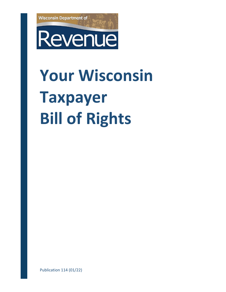

# **Your Wisconsin Taxpayer Bill of Rights**

Publication 114 (01/22)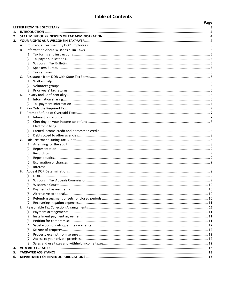# **Table of Contents**

<span id="page-1-0"></span>

|    |    |            |  | Page |  |  |
|----|----|------------|--|------|--|--|
|    |    |            |  |      |  |  |
| 1. |    |            |  |      |  |  |
| 2. |    |            |  |      |  |  |
| 3. |    |            |  |      |  |  |
|    |    |            |  |      |  |  |
|    | В. |            |  |      |  |  |
|    |    |            |  |      |  |  |
|    |    |            |  |      |  |  |
|    |    |            |  |      |  |  |
|    |    |            |  |      |  |  |
|    |    |            |  |      |  |  |
|    | C. |            |  |      |  |  |
|    |    |            |  |      |  |  |
|    |    |            |  |      |  |  |
|    |    |            |  |      |  |  |
|    |    |            |  |      |  |  |
|    |    |            |  |      |  |  |
|    |    |            |  |      |  |  |
|    | Е. |            |  |      |  |  |
|    |    |            |  |      |  |  |
|    |    |            |  |      |  |  |
|    |    |            |  |      |  |  |
|    |    |            |  |      |  |  |
|    |    |            |  |      |  |  |
|    |    |            |  |      |  |  |
|    |    |            |  |      |  |  |
|    |    |            |  |      |  |  |
|    |    |            |  |      |  |  |
|    |    |            |  |      |  |  |
|    |    |            |  |      |  |  |
|    |    |            |  |      |  |  |
|    |    |            |  |      |  |  |
|    |    |            |  |      |  |  |
|    |    |            |  |      |  |  |
|    |    |            |  |      |  |  |
|    |    |            |  |      |  |  |
|    |    |            |  |      |  |  |
|    |    |            |  |      |  |  |
|    |    | (6)        |  |      |  |  |
|    |    |            |  |      |  |  |
|    | I. |            |  |      |  |  |
|    |    | (2)        |  |      |  |  |
|    |    |            |  |      |  |  |
|    |    |            |  |      |  |  |
|    |    |            |  |      |  |  |
|    |    |            |  |      |  |  |
|    |    | (6)<br>(7) |  |      |  |  |
|    |    |            |  |      |  |  |
| 4. |    |            |  |      |  |  |
| 5. |    |            |  |      |  |  |
| 6. |    |            |  |      |  |  |
|    |    |            |  |      |  |  |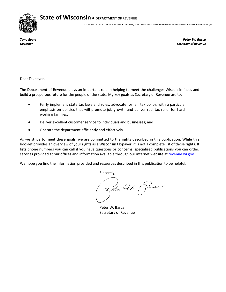**State of Wisconsin** • **DEPARTMENT OF REVENUE**



2135 RIMROCK ROAD • P.O. BOX 8933 • MADISON, WISCONSIN 53708-8933 • 608-266-6466 • FAX (608) 266-5718 • revenue.wi.gov

*Tony Evers Peter W. Barca Governor Secretary of Revenue*

<span id="page-2-0"></span>Dear Taxpayer,

The Department of Revenue plays an important role in helping to meet the challenges Wisconsin faces and build a prosperous future for the people of the state. My key goals as Secretary of Revenue are to:

- Fairly implement state tax laws and rules, advocate for fair tax policy, with a particular emphasis on policies that will promote job growth and deliver real tax relief for hardworking families;
- Deliver excellent customer service to individuals and businesses; and
- Operate the department efficiently and effectively.

As we strive to meet these goals, we are committed to the rights described in this publication. While this booklet provides an overview of your rights as a Wisconsin taxpayer, it is not a complete list of those rights. It lists phone numbers you can call if you have questions or concerns, specialized publications you can order, services provided at our offices and information available through our internet website a[t revenue.wi.gov.](https://www.revenue.wi.gov/pages/home.aspx)

We hope you find the information provided and resources described in this publication to be helpful.

Sincerely,

Zetu Cal. Burea

Peter W. Barca Secretary of Revenue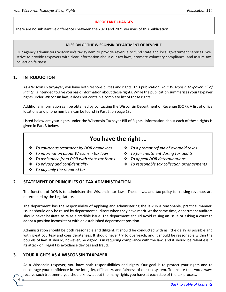#### **IMPORTANT CHANGES**

There are no substantive differences between the 2020 and 2021 versions of this publication.

#### **MISSION OF THE WISCONSIN DEPARTMENT OF REVENUE**

Our agency administers Wisconsin's tax system to provide revenue to fund state and local government services. We strive to provide taxpayers with clear information about our tax laws, promote voluntary compliance, and assure tax collection fairness.

# <span id="page-3-0"></span>**1. INTRODUCTION**

As a Wisconsin taxpayer, you have both responsibilities and rights. This publication, *Your Wisconsin Taxpayer Bill of Rights*, is intended to give you basic information about those rights. While the publication summarizes your taxpayer rights under Wisconsin law, it does not contain a complete list of those rights.

Additional information can be obtained by contacting the Wisconsin Department of Revenue (DOR). A list of office locations and phone numbers can be found in Part 5, on page 13.

Listed below are your rights under the Wisconsin Taxpayer Bill of Rights. Information about each of these rights is given in Part 3 below.

# **You have the right …**

- *To courteous treatment by DOR employees*
- *To information about Wisconsin tax laws*
- *To assistance from DOR with state tax forms*
- *To privacy and confidentiality*
- *To pay only the required tax*
- *To a prompt refund of overpaid taxes*
- *To fair treatment during tax audits*
- *To appeal DOR determinations*
- *To reasonable tax collection arrangements*

# <span id="page-3-1"></span>**2. STATEMENT OF PRINCIPLES OF TAX ADMINISTRATION**

The function of DOR is to administer the Wisconsin tax laws. These laws, and tax policy for raising revenue, are determined by the Legislature.

The department has the responsibility of applying and administering the law in a reasonable, practical manner. Issues should only be raised by department auditors when they have merit. At the same time, department auditors should never hesitate to raise a credible issue. The department should avoid raising an issue or asking a court to adopt a position inconsistent with an established department position.

Administration should be both reasonable and diligent. It should be conducted with as little delay as possible and with great courtesy and considerateness. It should never try to overreach, and it should be reasonable within the bounds of law. It should, however, be vigorous in requiring compliance with the law, and it should be relentless in its attack on illegal tax avoidance devices and fraud.

# <span id="page-3-2"></span>**3. YOUR RIGHTS AS A WISCONSIN TAXPAYER**

4

As a Wisconsin taxpayer, you have both responsibilities and rights. Our goal is to protect your rights and to encourage your confidence in the integrity, efficiency, and fairness of our tax system. To ensure that you always receive such treatment, you should know about the many rights you have at each step of the tax process.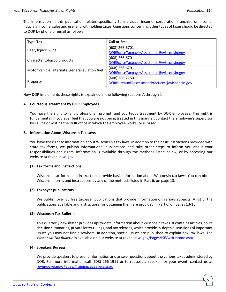The information in this publication relates specifically to individual income, corporation franchise or income, fiduciary income, sales and use, and withholding taxes. Questions concerning other types of taxes should be directed to DOR by phone or email as follows:

| <b>Type Tax</b>                                 | <b>Call or Email</b>                         |
|-------------------------------------------------|----------------------------------------------|
|                                                 | (608) 266-6701                               |
| Beer, liquor, wine                              | DORExciseTaxpayerAssistance@wisconsin.gov    |
| Cigarette, tobacco products                     | $(608)$ 266-6701                             |
|                                                 | DORExciseTaxpayerAssistance@wisconsin.gov    |
| Motor vehicle, alternate, general aviation fuel | $(608)$ 266-6701                             |
|                                                 | DORExciseTaxpayerAssistance@wisconsin.gov    |
|                                                 | (608) 266-7750                               |
| Property                                        | DORBureauofAssessmentPractices@wisconsin.gov |
|                                                 |                                              |

How DOR implements these rights is explained in the following sections A through I.

### <span id="page-4-0"></span>**A. Courteous Treatment by DOR Employees**

You have the right to fair, professional, prompt, and courteous treatment by DOR employees. This right is fundamental. If you ever feel that you are not being treated in this manner, contact the employee's supervisor by calling or writing the DOR office in which the employee works (or is based).

### <span id="page-4-1"></span>**B. Information About Wisconsin Tax Laws**

You have the right to information about Wisconsin's tax laws. In addition to the basic instructions provided with state tax forms, we publish informational publications and take other steps to inform you about your responsibilities and rights. Information is available through the methods listed below, or by accessing our website at [revenue.wi.gov.](https://www.revenue.wi.gov/Pages/home.aspx)

# <span id="page-4-2"></span>**(1) Tax forms and instructions**

Wisconsin tax forms and instructions provide basic information about Wisconsin tax laws. You can obtain Wisconsin forms and instructions by any of the methods listed in Part 6, on page 13.

### <span id="page-4-3"></span>**(2) Taxpayer publications**

We publish over 80 free taxpayer publications that provide information on various subjects. A list of the publications available and instructions for obtaining them are provided in Part 6, on pages 13-15.

### <span id="page-4-4"></span>**(3) Wisconsin Tax Bulletin**

This quarterly newsletter provides up-to-date information about Wisconsin taxes. It contains articles, court decision summaries, private letter rulings, and tax releases, which provide in-depth discussions of important issues you may not find elsewhere. In addition, special issues are published to explain new tax laws. The *Wisconsin Tax Bulletin* is available on our website a[t revenue.wi.gov/Pages/ISE/wtb-Home.aspx.](https://www.revenue.wi.gov/Pages/ISE/wtb-Home.aspx)

### <span id="page-4-5"></span>**(4) Speakers Bureau**

We provide speakers to present information and answer questions about the various taxes administered by DOR. For more information call (608) 266-1911 or to request a speaker for your event, contact us at [revenue.wi.gov/Pages/Training/speakers.aspx](https://www.revenue.wi.gov/Pages/Training/speakers.aspx)*.*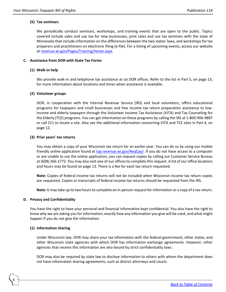#### <span id="page-5-0"></span>**(5) Tax seminars**

We periodically conduct seminars, workshops, and training events that are open to the public. Topics covered include sales and use tax for new businesses, joint sales and use tax seminars with the state of Minnesota that include information on the differences between the two states' laws, and workshops for tax preparers and practitioners on electronic filing (e-file). For a listing of upcoming events, access our website at [revenue.wi.gov/Pages/Training/Home.aspx.](https://www.revenue.wi.gov/Pages/Training/Home.aspx)

#### <span id="page-5-2"></span><span id="page-5-1"></span>**C. Assistance from DOR with State Tax Forms**

#### **(1) Walk-in help**

We provide walk-in and telephone tax assistance at six DOR offices. Refer to the list in Part 5, on page 13, for more information about locations and times when assistance is available.

#### <span id="page-5-3"></span>**(2) Volunteer groups**

DOR, in cooperation with the Internal Revenue Service (IRS) and local volunteers, offers educational programs for taxpayers and small businesses and free income tax return preparation assistance to lowincome and elderly taxpayers through the Volunteer Income Tax Assistance (VITA) and Tax Counseling for the Elderly (TCE) programs. You can get information on these programs by calling the IRS at 1-800-906-9887 or call 211 to locate a site. Also see the additional information concerning VITA and TCE sites in Part 4, on page 12.

#### <span id="page-5-4"></span>**(3) Prior years' tax returns**

You may obtain a copy of your Wisconsin tax return for an earlier year. You can do so by using our mobile friendly online application found at [tap.revenue.wi.gov/ReqCpy/.](https://tap.revenue.wi.gov/ReqCpy/_/) If you do not have access to a computer or are unable to use the online application, you can request copies by calling our Customer Service Bureau at (608) 266-2772. You may also visit one of our offices to complete this request. A list of our office locations and hours may be found on page 13. There is a fee for each tax return requested.

**Note:** Copies of federal income tax returns will not be included when Wisconsin income tax return copies are requested. Copies or transcripts of federal income tax returns should be requested from the IRS.

**Note:** It may take up to two hours to complete an in-person request for information or a copy of a tax return.

#### <span id="page-5-5"></span>**D. Privacy and Confidentiality**

You have the right to have your personal and financial information kept confidential. You also have the right to know why we are asking you for information, exactly how any information you give will be used, and what might happen if you do not give the information.

#### <span id="page-5-6"></span>**(1) Information sharing**

6

Under Wisconsin law, DOR may share your tax information with the federal government, other states, and other Wisconsin state agencies with which DOR has information exchange agreements. However, other agencies that receive this information are also bound by strict confidentiality laws.

DOR may also be required by state law to disclose information to others with whom the department does not have information sharing agreements, such as district attorneys and courts.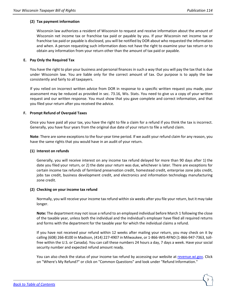# <span id="page-6-0"></span>**(2) Tax payment information**

Wisconsin law authorizes a resident of Wisconsin to request and receive information about the amount of Wisconsin net income tax or franchise tax paid or payable by you. If your Wisconsin net income tax or franchise tax paid or payable is disclosed, you will be notified by DOR about who requested the information and when. A person requesting such information does not have the right to examine your tax return or to obtain any information from your return other than the amount of tax paid or payable.

# <span id="page-6-1"></span>**E. Pay Only the Required Tax**

You have the right to plan your business and personal finances in such a way that you will pay the tax that is due under Wisconsin law. You are liable only for the correct amount of tax. Our purpose is to apply the law consistently and fairly to all taxpayers.

If you relied on incorrect written advice from DOR in response to a specific written request you made, your assessment may be reduced as provided in sec. 73.16, Wis. Stats. You need to give us a copy of your written request and our written response. You must show that you gave complete and correct information, and that you filed your return after you received the advice.

# <span id="page-6-2"></span>**F. Prompt Refund of Overpaid Taxes**

Once you have paid all your tax, you have the right to file a claim for a refund if you think the tax is incorrect. Generally, you have four years from the original due date of your return to file a refund claim.

**Note**: There are some exceptions to the four-year time period. If we audit your refund claim for any reason, you have the same rights that you would have in an audit of your return.

### <span id="page-6-3"></span>**(1) Interest on refunds**

Generally, you will receive interest on any income tax refund delayed for more than 90 days after 1) the date you filed your return, or 2) the date your return was due, whichever is later. There are exceptions for certain income tax refunds of farmland preservation credit, homestead credit, enterprise zone jobs credit, jobs tax credit, business development credit, and electronics and information technology manufacturing zone credit.

### <span id="page-6-4"></span>**(2) Checking on your income tax refund**

Normally, you will receive your income tax refund within six weeks after you file your return, but it may take longer.

**Note:** The department may not issue a refund to an employed individual before March 1 following the close of the taxable year, unless both the individual and the individual's employer have filed all required returns and forms with the department for the taxable year for which the individual claims a refund.

If you have not received your refund within 12 weeks after mailing your return, you may check on it by calling (608) 266-8100 in Madison, (414) 227-4907 in Milwaukee, or 1-866-WIS-RFND (1-866-947-7363, tollfree within the U.S. or Canada). You can call these numbers 24 hours a day, 7 days a week. Have your social security number and expected refund amount ready.

You can also check the status of your income tax refund by accessing our website at [revenue.wi.gov.](https://www.revenue.wi.gov/pages/home.aspx) Click on "Where's My Refund?" or click on "Common Questions" and look under "Refund Information."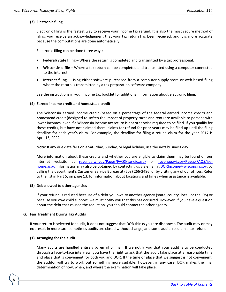# <span id="page-7-0"></span>**(3) Electronic filing**

Electronic filing is the fastest way to receive your income tax refund. It is also the most secure method of filing, you receive an acknowledgement that your tax return has been received, and it is more accurate because the computations are done automatically.

Electronic filing can be done three ways:

- **Federal/State filing** Where the return is completed and transmitted by a tax professional.
- **Wisconsin e-file** Where a tax return can be completed and transmitted using a computer connected to the internet.
- **Internet filing** Using either software purchased from a computer supply store or web-based filing where the return is transmitted by a tax preparation software company.

See the instructions in your income tax booklet for additional information about electronic filing.

#### <span id="page-7-1"></span>**(4) Earned income credit and homestead credit**

The Wisconsin earned income credit (based on a percentage of the federal earned income credit) and homestead credit (designed to soften the impact of property taxes and rent) are available to persons with lower incomes, even if a Wisconsin income tax return is not otherwise required to be filed. If you qualify for these credits, but have not claimed them, claims for refund for prior years may be filed up until the filing deadline for each year's claim. For example, the deadline for filing a refund claim for the year 2017 is April 15, 2022.

**Note:** If any due date falls on a Saturday, Sunday, or legal holiday, use the next business day.

More information about these credits and whether you are eligible to claim them may be found on our internet website at [revenue.wi.gov/Pages/FAQS/ise-eic.aspx](https://www.revenue.wi.gov/Pages/FAQS/ise-eic.aspx) or [revenue.wi.gov/Pages/FAQS/ise](https://www.revenue.wi.gov/Pages/FAQS/ise-home.aspx)[home.aspx.](https://www.revenue.wi.gov/Pages/FAQS/ise-home.aspx) Information may also be obtained by contacting us via email at [DORIncome@wisconsin.gov,](https://www.revenue.wi.gov/Pages/ContactUs/dorhelpslf.aspx?subject=dorincome) by calling the department's Customer Service Bureau at (608) 266-2486, or by visiting any of our offices. Refer to the list in Part 5, on page 13, for information about locations and times when assistance is available.

### <span id="page-7-2"></span>**(5) Debts owed to other agencies**

If your refund is reduced because of a debt you owe to another agency (state, county, local, or the IRS) or because you owe child support, we must notify you that this has occurred. However, if you have a question about the debt that caused the reduction, you should contact the other agency.

#### <span id="page-7-3"></span>**G. Fair Treatment During Tax Audits**

If your return is selected for audit, it does not suggest that DOR thinks you are dishonest. The audit may or may not result in more tax - sometimes audits are closed without change, and some audits result in a tax refund.

### <span id="page-7-4"></span>**(1) Arranging for the audit**

8

Many audits are handled entirely by email or mail. If we notify you that your audit is to be conducted through a face-to-face interview, you have the right to ask that the audit take place at a reasonable time and place that is convenient for both you and DOR. If the time or place that we suggest is not convenient, the auditor will try to work out something more suitable. However, in any case, DOR makes the final determination of how, when, and where the examination will take place.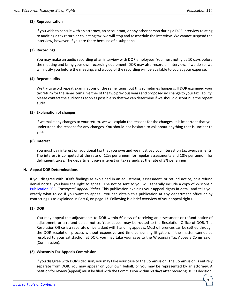### <span id="page-8-0"></span>**(2) Representation**

If you wish to consult with an attorney, an accountant, or any other person during a DOR interview relating to auditing a tax return or collecting tax, we will stop and reschedule the interview. We cannot suspend the interview, however, if you are there because of a subpoena.

# <span id="page-8-1"></span>**(3) Recordings**

You may make an audio recording of an interview with DOR employees. You must notify us 10 days before the meeting and bring your own recording equipment. DOR may also record an interview. If we do so, we will notify you before the meeting, and a copy of the recording will be available to you at your expense.

### <span id="page-8-2"></span>**(4) Repeat audits**

We try to avoid repeat examinations of the same items, but this sometimes happens. If DOR examined your tax return for the same items in either of the two previous years and proposed no change to your tax liability, please contact the auditor as soon as possible so that we can determine if we should discontinue the repeat audit.

# <span id="page-8-3"></span>**(5) Explanation of changes**

If we make any changes to your return, we will explain the reasons for the changes. It is important that you understand the reasons for any changes. You should not hesitate to ask about anything that is unclear to you.

# <span id="page-8-4"></span>**(6) Interest**

You must pay interest on additional tax that you owe and we must pay you interest on tax overpayments. The interest is computed at the rate of 12% per annum for regular assessments and 18% per annum for delinquent taxes. The department pays interest on tax refunds at the rate of 3% per annum.

### <span id="page-8-5"></span>**H. Appeal DOR Determinations**

If you disagree with DOR's findings as explained in an adjustment, assessment, or refund notice, or a refund denial notice, you have the right to appeal. The notice sent to you will generally include a copy of Wisconsin [Publication](https://www.revenue.wi.gov/DOR%20Publications/pb506.pdf) 506, *Taxpayers' Appeal Rights*. This publication explains your appeal rights in detail and tells you exactly what to do if you want to appeal. You can obtain this publication at any department office or by contacting us as explained in Part 6, on page 13. Following is a brief overview of your appeal rights.

# <span id="page-8-6"></span>**(1) DOR**

You may appeal the adjustments to DOR within 60 days of receiving an assessment or refund notice of adjustment, or a refund denial notice. Your appeal may be routed to the Resolution Office of DOR. The Resolution Office is a separate office tasked with handling appeals. Most differences can be settled through the DOR resolution process without expensive and time-consuming litigation. If the matter cannot be resolved to your satisfaction at DOR, you may take your case to the Wisconsin Tax Appeals Commission (Commission).

### <span id="page-8-7"></span>**(2) Wisconsin Tax Appeals Commission**

If you disagree with DOR's decision, you may take your case to the Commission. The Commission is entirely separate from DOR. You may appear on your own behalf, or you may be represented by an attorney. A petition for review (appeal) must be filed with the Commission within 60 days after receiving DOR's decision.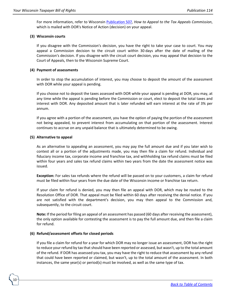<span id="page-9-0"></span>For more information, refer to Wisconsin [Publication](https://www.revenue.wi.gov/DOR%20Publications/pb507.pdf) 507*, How to Appeal to the Tax Appeals Commission*, which is mailed with DOR's Notice of Action (decision) on your appeal.

### **(3) Wisconsin courts**

If you disagree with the Commission's decision, you have the right to take your case to court. You may appeal a Commission decision to the circuit court within 30 days after the date of mailing of the Commission's decision. If you disagree with the circuit court decision, you may appeal that decision to the Court of Appeals, then to the Wisconsin Supreme Court.

### <span id="page-9-1"></span>**(4) Payment of assessments**

In order to stop the accumulation of interest, you may choose to deposit the amount of the assessment with DOR while your appeal is pending.

If you choose not to deposit the taxes assessed with DOR while your appeal is pending at DOR, you may, at any time while the appeal is pending before the Commission or court, elect to deposit the total taxes and interest with DOR. Any deposited amount that is later refunded will earn interest at the rate of 3% per annum.

If you agree with a portion of the assessment, you have the option of paying the portion of the assessment not being appealed, to prevent interest from accumulating on that portion of the assessment. Interest continues to accrue on any unpaid balance that is ultimately determined to be owing.

#### <span id="page-9-2"></span>**(5) Alternative to appeal**

10

As an alternative to appealing an assessment, you may pay the full amount due and if you later wish to contest all or a portion of the adjustments made, you may then file a claim for refund. Individual and fiduciary income tax, corporate income and franchise tax, and withholding tax refund claims must be filed within four years and sales tax refund claims within two years from the date the assessment notice was issued.

**Exception:** For sales tax refunds where the refund will be passed on to your customers, a claim for refund must be filed within four years from the due date of the Wisconsin income or franchise tax return.

If your claim for refund is denied, you may then file an appeal with DOR, which may be routed to the Resolution Office of DOR. That appeal must be filed within 60 days after receiving the denial notice. If you are not satisfied with the department's decision, you may then appeal to the Commission and, subsequently, to the circuit court.

**Note:** If the period for filing an appeal of an assessment has passed (60 days after receiving the assessment), the only option available for contesting the assessment is to pay the full amount due, and then file a claim for refund.

### <span id="page-9-3"></span>**(6) Refund/assessment offsets for closed periods**

If you file a claim for refund for a year for which DOR may no longer issue an assessment, DOR has the right to reduce your refund by tax that should have been reported or assessed, but wasn't, up to the total amount of the refund. If DOR has assessed you tax, you may have the right to reduce that assessment by any refund that could have been reported or claimed, but wasn't, up to the total amount of the assessment. In both instances, the same year(s) or period(s) must be involved, as well as the same type of tax.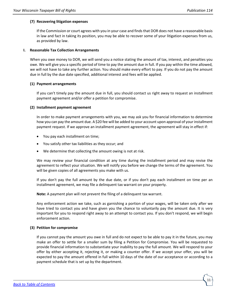# <span id="page-10-0"></span>**(7) Recovering litigation expenses**

If the Commission or court agrees with you in your case and finds that DOR does not have a reasonable basis in law and fact in taking its position, you may be able to recover some of your litigation expenses from us, as provided by law.

### <span id="page-10-1"></span>**I. Reasonable Tax Collection Arrangements**

When you owe money to DOR, we will send you a notice stating the amount of tax, interest, and penalties you owe. We will give you a specific period of time to pay the amount due in full. If you pay within the time allowed, we will not have to take any further action. You should make every effort to pay. If you do not pay the amount due in full by the due date specified, additional interest and fees will be applied.

### <span id="page-10-2"></span>**(1) Payment arrangements**

If you can't timely pay the amount due in full, you should contact us right away to request an installment payment agreement and/or offer a petition for compromise.

### <span id="page-10-3"></span>**(2) Installment payment agreement**

In order to make payment arrangements with you, we may ask you for financial information to determine how you can pay the amount due. A \$20 fee will be added to your account upon approval of your installment payment request. If we approve an installment payment agreement, the agreement will stay in effect if:

- You pay each installment on time;
- You satisfy other tax liabilities as they occur; and
- We determine that collecting the amount owing is not at risk.

We may review your financial condition at any time during the installment period and may revise the agreement to reflect your situation. We will notify you before we change the terms of the agreement. You will be given copies of all agreements you make with us.

If you don't pay the full amount by the due date, or if you don't pay each installment on time per an installment agreement, we may file a delinquent tax warrant on your property.

**Note:** A payment plan will not prevent the filing of a delinquent tax warrant.

Any enforcement action we take, such as garnishing a portion of your wages, will be taken only after we have tried to contact you and have given you the chance to voluntarily pay the amount due. It is very important for you to respond right away to an attempt to contact you. If you don't respond, we will begin enforcement action.

### <span id="page-10-4"></span>**(3) Petition for compromise**

If you cannot pay the amount you owe in full and do not expect to be able to pay it in the future, you may make an offer to settle for a smaller sum by filing a Petition for Compromise. You will be requested to provide financial information to substantiate your inability to pay the full amount. We will respond to your offer by either accepting it, rejecting it, or making a counter offer. If we accept your offer, you will be expected to pay the amount offered in full within 10 days of the date of our acceptance or according to a payment schedule that is set up by the department.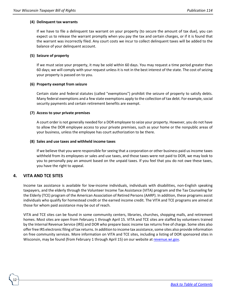### <span id="page-11-0"></span>**(4) Delinquent tax warrants**

If we have to file a delinquent tax warrant on your property (to secure the amount of tax due), you can expect us to release the warrant promptly when you pay the tax and certain charges, or if it is found that the warrant was incorrectly filed. Any court costs we incur to collect delinquent taxes will be added to the balance of your delinquent account.

#### <span id="page-11-1"></span>**(5) Seizure of property**

If we must seize your property, it may be sold within 60 days. You may request a time period greater than 60 days; we will comply with your request unless it is not in the best interest of the state. The cost of seizing your property is passed on to you.

#### <span id="page-11-2"></span>**(6) Property exempt from seizure**

Certain state and federal statutes (called "exemptions") prohibit the seizure of property to satisfy debts. Many federal exemptions and a few state exemptions apply to the collection of tax debt. For example, social security payments and certain retirement benefits are exempt.

#### <span id="page-11-3"></span>**(7) Access to your private premises**

A court order is not generally needed for a DOR employee to seize your property. However, you do not have to allow the DOR employee access to your private premises, such as your home or the nonpublic areas of your business, unless the employee has court authorization to be there.

#### <span id="page-11-4"></span>**(8) Sales and use taxes and withheld income taxes**

If we believe that you were responsible for seeing that a corporation or other business paid us income taxes withheld from its employees or sales and use taxes, and those taxes were not paid to DOR, we may look to you to personally pay an amount based on the unpaid taxes. If you feel that you do not owe these taxes, you have the right to appeal.

# <span id="page-11-5"></span>**4. VITA AND TCE SITES**

12

Income tax assistance is available for low-income individuals, individuals with disabilities, non-English speaking taxpayers, and the elderly through the Volunteer Income Tax Assistance (VITA) program and the Tax Counseling for the Elderly (TCE) program of the American Association of Retired Persons (AARP). In addition, these programs assist individuals who qualify for homestead credit or the earned income credit. The VITA and TCE programs are aimed at those for whom paid assistance may be out of reach.

VITA and TCE sites can be found in some community centers, libraries, churches, shopping malls, and retirement homes. Most sites are open from February 1 through April 15. VITA and TCE sites are staffed by volunteers trained by the Internal Revenue Service (IRS) and DOR who prepare basic income tax returns free of charge. Some sites also offer free IRS electronic filing of tax returns. In addition to income tax assistance, some sites also provide information on free community services. More information on VITA and TCE sites, including a listing of DOR sponsored sites in Wisconsin, may be found (from February 1 through April 15) on our website at [revenue.wi.gov](https://www.revenue.wi.gov/pages/home.aspx)*.*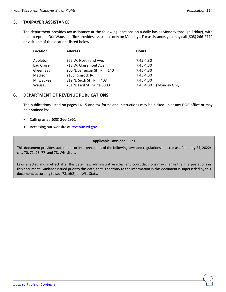# <span id="page-12-0"></span>**5. TAXPAYER ASSISTANCE**

The department provides tax assistance at the following locations on a daily basis (Monday through Friday), with one exception. Our Wausau office provides assistance only on Mondays. For assistance, you may call (608) 266-2772 or visit one of the locations listed below.

| Location   | <b>Address</b>                | <b>Hours</b> |               |
|------------|-------------------------------|--------------|---------------|
|            |                               |              |               |
| Appleton   | 265 W. Northland Ave.         | $7:45-4:30$  |               |
| Eau Claire | 718 W. Clairemont Ave.        | $7:45-4:30$  |               |
| Green Bay  | 200 N. Jefferson St., Rm. 140 | $7:45-4:30$  |               |
| Madison    | 2135 Rimrock Rd.              | $7:45-4:30$  |               |
| Milwaukee  | 819 N. Sixth St., Rm. 408     | $7:45-4:30$  |               |
| Wausau     | 731 N. First St., Suite 6000  | 7:45-4:30    | (Monday Only) |

# <span id="page-12-1"></span>**6. DEPARTMENT OF REVENUE PUBLICATIONS**

The publications listed on pages 14-15 and tax forms and instructions may be picked up at any DOR office or may be obtained by:

- Calling us at (608) 266-1961
- Accessing our website at [revenue.wi.gov](https://www.revenue.wi.gov/pages/home.aspx)

# **Applicable Laws and Rules**

This document provides statements or interpretations of the following laws and regulations enacted as of January 24, 2022: chs. 70, 71, 73, 77, and 78, Wis. Stats.

Laws enacted and in effect after this date, new administrative rules, and court decisions may change the interpretations in this document. Guidance issued prior to this date, that is contrary to the information in this document is superseded by this document, according to sec. 73.16(2)(a), Wis. Stats.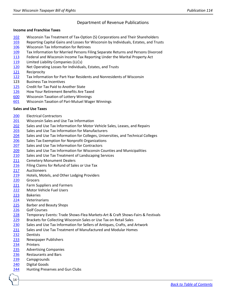# Department of Revenue Publications

### **Income and Franchise Taxes**

- Wisconsin Tax Treatment of Tax-Option (S) Corporations and Their Shareholders
- Reporting Capital Gains and Losses for Wisconsin by Individuals, Estates, and Trusts
- Wisconsin Tax Information for Retirees
- Tax Information for Married Persons Filing Separate Returns and Persons Divorced
- Federal and Wisconsin Income Tax Reporting Under the Marital Property Act
- Limited Liability Companies (LLCs)
- Net Operating Losses for Individuals, Estates, and Trusts
- Reciprocity
- Tax Information for Part-Year Residents and Nonresidents of Wisconsin
- Business Tax Incentives
- Credit for Tax Paid to Another State
- How Your Retirement Benefits Are Taxed
- Wisconsin Taxation of Lottery Winnings
- Wisconsin Taxation of Pari-Mutuel Wager Winnings

### **Sales and Use Taxes**

- Electrical Contractors
- Wisconsin Sales and Use Tax Information
- Sales and Use Tax Information for Motor Vehicle Sales, Leases, and Repairs
- Sales and Use Tax Information for Manufacturers
- Sales and Use Tax Information for Colleges, Universities, and Technical Colleges
- Sales Tax Exemption for Nonprofit Organizations
- Sales and Use Tax Information for Contractors
- Sales and Use Tax Information for Wisconsin Counties and Municipalities
- Sales and Use Tax Treatment of Landscaping Services
- Cemetery Monument Dealers
- Filing Claims for Refund of Sales or Use Tax
- Auctioneers
- Hotels, Motels, and Other Lodging Providers
- Grocers
- Farm Suppliers and Farmers
- Motor Vehicle Fuel Users
- Bakeries
- Veterinarians
- Barber and Beauty Shops
- Golf Courses
- Temporary Events: Trade Shows-Flea Markets-Art & Craft Shows-Fairs & Festivals
- Brackets for Collecting Wisconsin Sales or Use Tax on Retail Sales
- Sales and Use Tax Information for Sellers of Antiques, Crafts, and Artwork
- Sales and Use Tax Treatment of Manufactured and Modular Homes
- Dentists
- Newspaper Publishers
- Printers

- Advertising Companies
- Restaurants and Bars
- Campgrounds
- Digital Goods
- Hunting Preserves and Gun Clubs